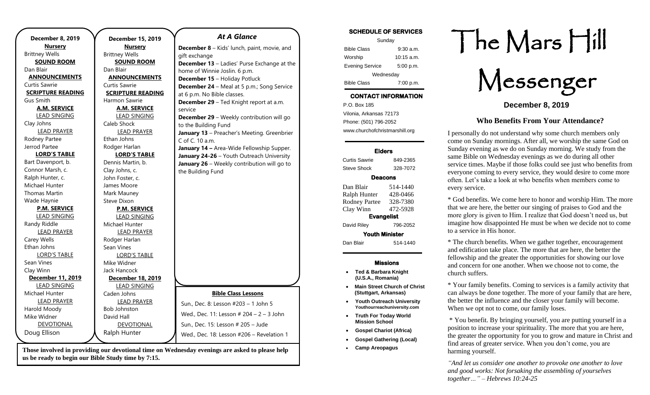| <b>December 8, 2019</b>  | December 15, 2019        | <b>At A Glance</b>                                 |
|--------------------------|--------------------------|----------------------------------------------------|
| <b>Nursery</b>           | <b>Nursery</b>           | <b>December 8</b> - Kids' lunch, paint, movie, and |
| <b>Brittney Wells</b>    | <b>Brittney Wells</b>    | gift exchange                                      |
| <b>SOUND ROOM</b>        | <b>SOUND ROOM</b>        | <b>December 13</b> - Ladies' Purse Exchange at the |
| Dan Blair                | Dan Blair                | home of Winnie Joslin. 6 p.m.                      |
| <b>ANNOUNCEMENTS</b>     | <b>ANNOUNCEMENTS</b>     | December 15 - Holiday Potluck                      |
| Curtis Sawrie            | Curtis Sawrie            | <b>December 24</b> - Meal at 5 p.m.; Song Service  |
| <b>SCRIPTURE READING</b> | <b>SCRIPTURE READING</b> | at 6 p.m. No Bible classes.                        |
| Gus Smith                | Harmon Sawrie            | December 29 - Ted Knight report at a.m.            |
| A.M. SERVICE             | <b>A.M. SERVICE</b>      | service                                            |
| <b>LEAD SINGING</b>      | <b>LEAD SINGING</b>      | December 29 - Weekly contribution will go          |
| Clay Johns               | Caleb Shock              | to the Building Fund                               |
| <b>LEAD PRAYER</b>       | <b>LEAD PRAYER</b>       | January 13 - Preacher's Meeting. Greenbrier        |
| Rodney Partee            | Ethan Johns              | C of C. 10 a.m.                                    |
| Jerrod Partee            | Rodger Harlan            | January 14 - Area-Wide Fellowship Supper.          |
| <b>LORD'S TABLE</b>      | <b>LORD'S TABLE</b>      | January 24-26 - Youth Outreach University          |
| Bart Davenport, b.       | Dennis Martin, b.        | January 26 - Weekly contribution will go to        |
| Connor Marsh, c.         | Clay Johns, c.           | the Building Fund                                  |
| Ralph Hunter, c.         | John Foster, c.          |                                                    |
| Michael Hunter           | James Moore              |                                                    |
| <b>Thomas Martin</b>     | Mark Mauney              |                                                    |
| Wade Haynie              | Steve Dixon              |                                                    |
| <b>P.M. SERVICE</b>      | <b>P.M. SERVICE</b>      |                                                    |
| <b>LEAD SINGING</b>      | <b>LEAD SINGING</b>      |                                                    |
| Randy Riddle             | Michael Hunter           |                                                    |
| <b>LEAD PRAYER</b>       | <b>LEAD PRAYER</b>       |                                                    |
| Carey Wells              | Rodger Harlan            |                                                    |
| Ethan Johns              | Sean Vines               |                                                    |
| <b>LORD'S TABLE</b>      | <b>LORD'S TABLE</b>      |                                                    |
| Sean Vines               | Mike Widner              |                                                    |
| Clay Winn                | Jack Hancock             |                                                    |
| December 11, 2019        | <b>December 18, 2019</b> |                                                    |
| <b>LEAD SINGING</b>      | <b>LEAD SINGING</b>      |                                                    |
| Michael Hunter           | Caden Johns              | <b>Bible Class Lessons</b>                         |
| <b>LEAD PRAYER</b>       | <b>LEAD PRAYER</b>       | Sun., Dec. 8: Lesson #203 - 1 John 5               |
| Harold Moody             | <b>Bob Johnston</b>      |                                                    |
| Mike Widner              | David Hall               | Wed., Dec. 11: Lesson # 204 - 2 - 3 John           |
| DEVOTIONAL               | DEVOTIONAL               | Sun., Dec. 15: Lesson # 205 - Jude                 |
| Doug Ellison             | Ralph Hunter             | Wed., Dec. 18: Lesson #206 - Revelation 1          |
|                          |                          |                                                    |

**Those involved in providing our devotional time on Wednesday evenings are asked to please help us be ready to begin our Bible Study time by 7:15.** 

#### **SCHEDULE OF SERVICES**

| Sunday                 |              |  |  |
|------------------------|--------------|--|--|
| <b>Bible Class</b>     | $9:30$ a.m.  |  |  |
| Worship                | $10:15$ a.m. |  |  |
| <b>Evening Service</b> | 5:00 p.m.    |  |  |
| Wednesday              |              |  |  |
| <b>Bible Class</b>     | 7:00 p.m.    |  |  |

# **CONTACT INFORMATION**

. .o. Box 166<br>Vilonia, Arkansas 72173 P.O. Box 185 Phone: (501) 796-2052 www.churchofchristmarshill.org

#### **Elders**

Curtis Sawrie 849-2365 Steve Shock 328-7072

#### **Deacons**

| Dan Blair<br>Ralph Hunter | 514-1440<br>428-0466 |  |  |  |
|---------------------------|----------------------|--|--|--|
| <b>Rodney Partee</b>      | 328-7380             |  |  |  |
| Clay Winn                 | 472-5928             |  |  |  |
| <b>Evangelist</b>         |                      |  |  |  |
| David Riley               | 796-2052             |  |  |  |
| <b>Youth Minister</b>     |                      |  |  |  |
| Dan Blair                 | 514-1440             |  |  |  |
|                           |                      |  |  |  |

#### **Missions**

- **Ted & Barbara Knight (U.S.A., Romania)**
- **Main Street Church of Christ (Stuttgart, Arkansas)**
- **Youth Outreach University Youthourreachuniversity.com**
- **Truth For Today World Mission School**
- **Gospel Chariot (Africa)**
- **Gospel Gathering (Local)**
- **Camp Areopagus**

# The Mars Hill

Messenger

**December 8, 2019**

#### **Who Benefits From Your Attendance?**

I personally do not understand why some church members only come on Sunday mornings. After all, we worship the same God on Sunday evening as we do on Sunday morning. We study from the same Bible on Wednesday evenings as we do during all other service times. Maybe if those folks could see just who benefits from everyone coming to every service, they would desire to come more often. Let's take a look at who benefits when members come to every service.

\* God benefits. We come here to honor and worship Him. The more that we are here, the better our singing of praises to God and the more glory is given to Him. I realize that God doesn't need us, but imagine how disappointed He must be when we decide not to come to a service in His honor.

\* The church benefits. When we gather together, encouragement and edification take place. The more that are here, the better the fellowship and the greater the opportunities for showing our love and concern for one another. When we choose not to come, the church suffers.

\* Your family benefits. Coming to services is a family activity that can always be done together. The more of your family that are here, the better the influence and the closer your family will become. When we opt not to come, our family loses.

\* You benefit. By bringing yourself, you are putting yourself in a position to increase your spirituality. The more that you are here, the greater the opportunity for you to grow and mature in Christ and find areas of greater service. When you don't come, you are harming yourself.

*"And let us consider one another to provoke one another to love and good works: Not forsaking the assembling of yourselves together…" – Hebrews 10:24-25*